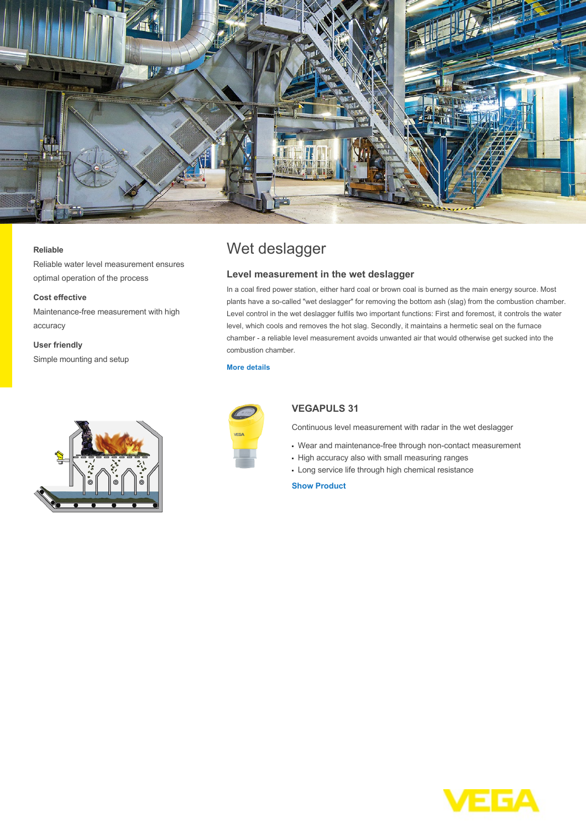

### **Reliable**

Reliable water level measurement ensures optimal operation of the process

### **Cost effective**

Maintenance-free measurement with high accuracy

## **User friendly**

Simple mounting and setup



# Wet deslagger

### **Level measurement in the wet deslagger**

In a coal fired power station, either hard coal or brown coal is burned as the main energy source. Most plants have a so-called "wet deslagger" for removing the bottom ash (slag) from the combustion chamber. Level control in the wet deslagger fulfils two important functions: First and foremost, it controls the water level, which cools and removes the hot slag. Secondly, it maintains a hermetic seal on the furnace chamber - a reliable level measurement avoids unwanted air that would otherwise get sucked into the combustion chamber.

#### **[More details](http://localhost/en-us/industries/energy/coal-power-plant/wet-deslagger)**



## **VEGAPULS 31**

Continuous level measurement with radar in the wet deslagger

- Wear and maintenance-free through non-contact measurement
- High accuracy also with small measuring ranges
- Long service life through high chemical resistance

**[Show Product](http://localhost/en-us/products/product-catalog/level/radar/vegapuls-31)**